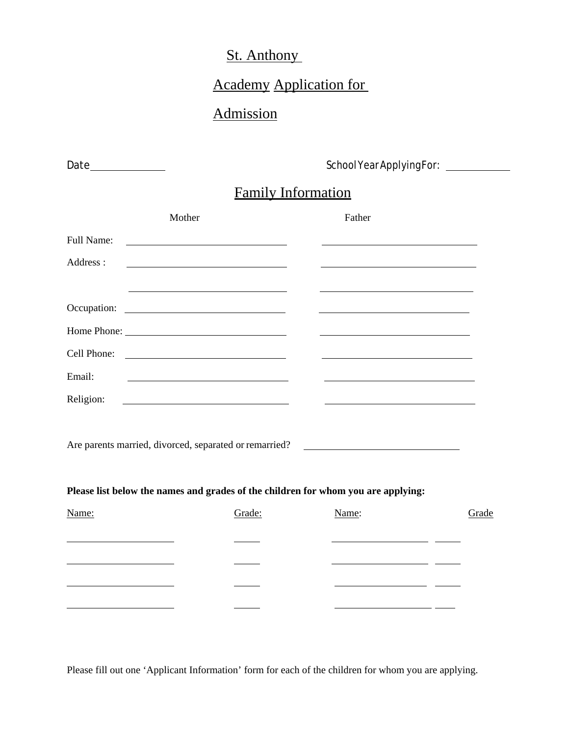# St. Anthony

# Academy Application for

## Admission

Date School Year Applying For:

# Family Information

|                                                    | Mother                                                                                                                 | Father                                                                                                                 |       |
|----------------------------------------------------|------------------------------------------------------------------------------------------------------------------------|------------------------------------------------------------------------------------------------------------------------|-------|
| Full Name:                                         |                                                                                                                        |                                                                                                                        |       |
| Address:                                           | <u> 1989 - Johann Stein, mars an deus Amerikaansk kommunister (* 1950)</u>                                             |                                                                                                                        |       |
|                                                    | <u> 1989 - Johann Stoff, deutscher Stoffen und der Stoffen und der Stoffen und der Stoffen und der Stoffen und der</u> | <u> 1989 - Johann Stoff, deutscher Stoffen und der Stoffen und der Stoffen und der Stoffen und der Stoffen und der</u> |       |
|                                                    |                                                                                                                        |                                                                                                                        |       |
|                                                    |                                                                                                                        |                                                                                                                        |       |
| Cell Phone:                                        | <u> 1989 - Johann Barn, fransk politik (d. 1989)</u>                                                                   |                                                                                                                        |       |
| Email:                                             | <u> 1989 - Johann Barn, fransk politik (d. 1989)</u>                                                                   |                                                                                                                        |       |
| Religion:                                          |                                                                                                                        |                                                                                                                        |       |
|                                                    |                                                                                                                        |                                                                                                                        |       |
|                                                    | Are parents married, divorced, separated or remarried? __________________________                                      |                                                                                                                        |       |
|                                                    |                                                                                                                        |                                                                                                                        |       |
|                                                    | Please list below the names and grades of the children for whom you are applying:                                      |                                                                                                                        |       |
| Name:                                              | Grade:                                                                                                                 | Name:                                                                                                                  | Grade |
|                                                    |                                                                                                                        |                                                                                                                        |       |
| <u> 1989 - Johann Barbara, martxa alemani</u> ar a |                                                                                                                        | <u> 1989 - Johann Barbara, martin a</u>                                                                                |       |
| the control of the control of the control of       |                                                                                                                        | <u> 1980 - Andrea Station Barbara, ameri</u> kan                                                                       |       |
|                                                    |                                                                                                                        |                                                                                                                        |       |

Please fill out one 'Applicant Information' form for each of the children for whom you are applying.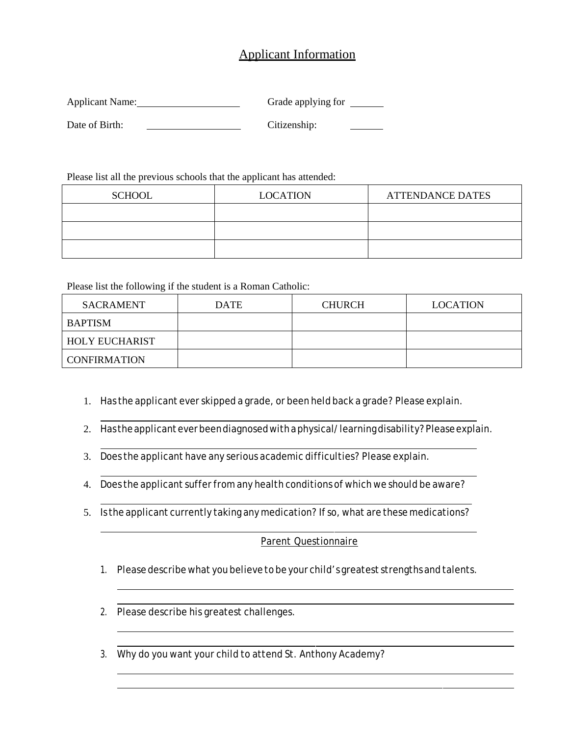### Applicant Information

| Applicant Name: | Grade applying for |  |
|-----------------|--------------------|--|
|                 |                    |  |
| Date of Birth:  | Citizenship:       |  |

Please list all the previous schools that the applicant has attended:

| <b>SCHOOL</b> | <b>LOCATION</b> | <b>ATTENDANCE DATES</b> |  |
|---------------|-----------------|-------------------------|--|
|               |                 |                         |  |
|               |                 |                         |  |
|               |                 |                         |  |

Please list the following if the student is a Roman Catholic:

| SACRAMENT             | <b>DATE</b> | <b>CHURCH</b> | <b>LOCATION</b> |
|-----------------------|-------------|---------------|-----------------|
| BAPTISM               |             |               |                 |
| <b>HOLY EUCHARIST</b> |             |               |                 |
| <b>CONFIRMATION</b>   |             |               |                 |

- 1. Has the applicant ever skipped a grade, or been held back a grade? Please explain.
- 2. Has the applicant ever been diagnosed with a physical/learning disability? Please explain.
- 3. Does the applicant have any serious academic difficulties? Please explain.
- 4. Does the applicant suffer from any health conditions of which we should be aware?
- 5. Is the applicant currently taking any medication? If so, what are these medications?

#### Parent Questionnaire

- 1. Please describe what you believe to be your child's greatest strengths and talents.
- 2. Please describe his greatest challenges.
- 3. Why do you want your child to attend St. Anthony Academy?